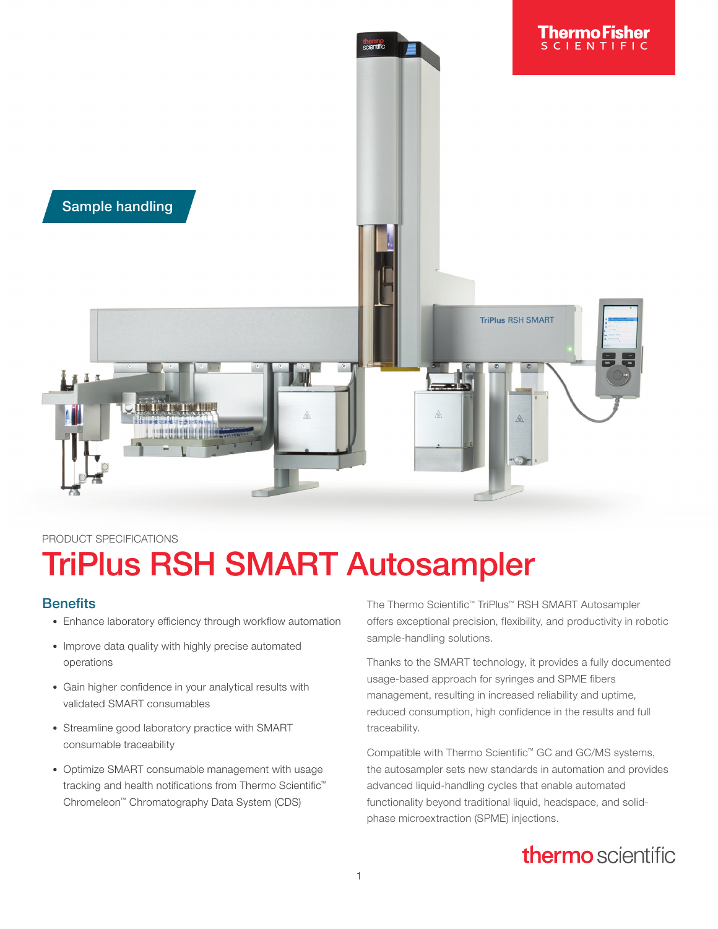

#### PRODUCT SPECIFICATIONS

# TriPlus RSH SMART Autosampler

#### **Benefits**

- Enhance laboratory efficiency through workflow automation
- Improve data quality with highly precise automated operations
- Gain higher confidence in your analytical results with validated SMART consumables
- Streamline good laboratory practice with SMART consumable traceability
- Optimize SMART consumable management with usage tracking and health notifications from Thermo Scientific™ Chromeleon™ Chromatography Data System (CDS)

The Thermo Scientific™ TriPlus™ RSH SMART Autosampler offers exceptional precision, flexibility, and productivity in robotic sample-handling solutions.

Thanks to the SMART technology, it provides a fully documented usage-based approach for syringes and SPME fibers management, resulting in increased reliability and uptime, reduced consumption, high confidence in the results and full traceability.

Compatible with Thermo Scientific™ GC and GC/MS systems, the autosampler sets new standards in automation and provides advanced liquid-handling cycles that enable automated functionality beyond traditional liquid, headspace, and solidphase microextraction (SPME) injections.

# thermo scientific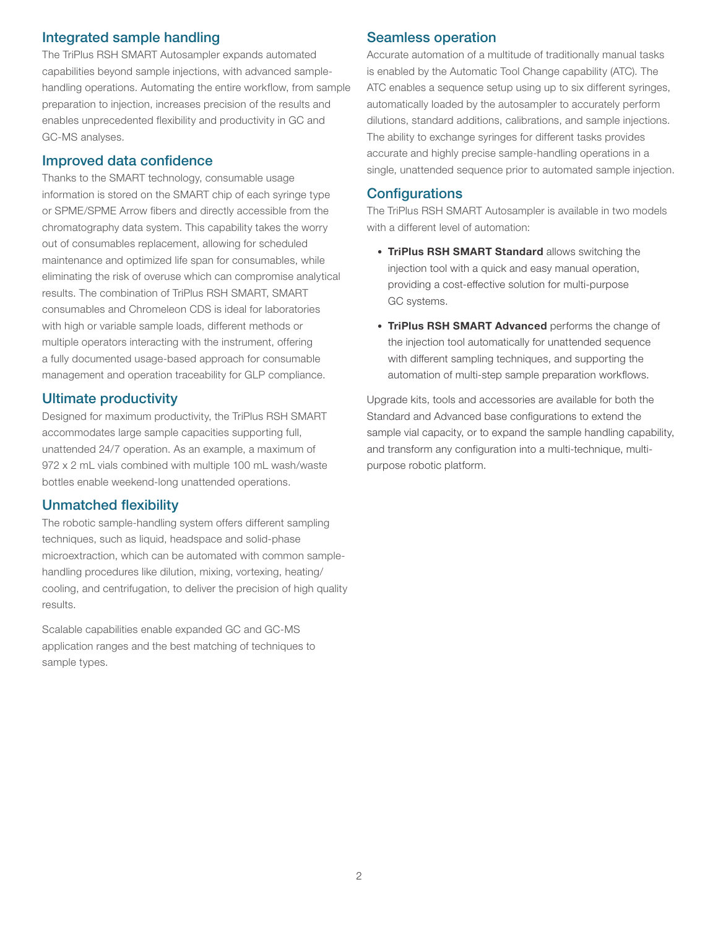### Integrated sample handling

The TriPlus RSH SMART Autosampler expands automated capabilities beyond sample injections, with advanced samplehandling operations. Automating the entire workflow, from sample preparation to injection, increases precision of the results and enables unprecedented flexibility and productivity in GC and GC-MS analyses.

#### Improved data confidence

Thanks to the SMART technology, consumable usage information is stored on the SMART chip of each syringe type or SPME/SPME Arrow fibers and directly accessible from the chromatography data system. This capability takes the worry out of consumables replacement, allowing for scheduled maintenance and optimized life span for consumables, while eliminating the risk of overuse which can compromise analytical results. The combination of TriPlus RSH SMART, SMART consumables and Chromeleon CDS is ideal for laboratories with high or variable sample loads, different methods or multiple operators interacting with the instrument, offering a fully documented usage-based approach for consumable management and operation traceability for GLP compliance.

#### Ultimate productivity

Designed for maximum productivity, the TriPlus RSH SMART accommodates large sample capacities supporting full, unattended 24/7 operation. As an example, a maximum of 972 x 2 mL vials combined with multiple 100 mL wash/waste bottles enable weekend-long unattended operations.

#### Unmatched flexibility

The robotic sample-handling system offers different sampling techniques, such as liquid, headspace and solid-phase microextraction, which can be automated with common samplehandling procedures like dilution, mixing, vortexing, heating/ cooling, and centrifugation, to deliver the precision of high quality results.

Scalable capabilities enable expanded GC and GC-MS application ranges and the best matching of techniques to sample types.

## Seamless operation

Accurate automation of a multitude of traditionally manual tasks is enabled by the Automatic Tool Change capability (ATC). The ATC enables a sequence setup using up to six different syringes, automatically loaded by the autosampler to accurately perform dilutions, standard additions, calibrations, and sample injections. The ability to exchange syringes for different tasks provides accurate and highly precise sample-handling operations in a single, unattended sequence prior to automated sample injection.

#### **Configurations**

The TriPlus RSH SMART Autosampler is available in two models with a different level of automation:

- TriPlus RSH SMART Standard allows switching the injection tool with a quick and easy manual operation, providing a cost-effective solution for multi-purpose GC systems.
- TriPlus RSH SMART Advanced performs the change of the injection tool automatically for unattended sequence with different sampling techniques, and supporting the automation of multi-step sample preparation workflows.

Upgrade kits, tools and accessories are available for both the Standard and Advanced base configurations to extend the sample vial capacity, or to expand the sample handling capability, and transform any configuration into a multi-technique, multipurpose robotic platform.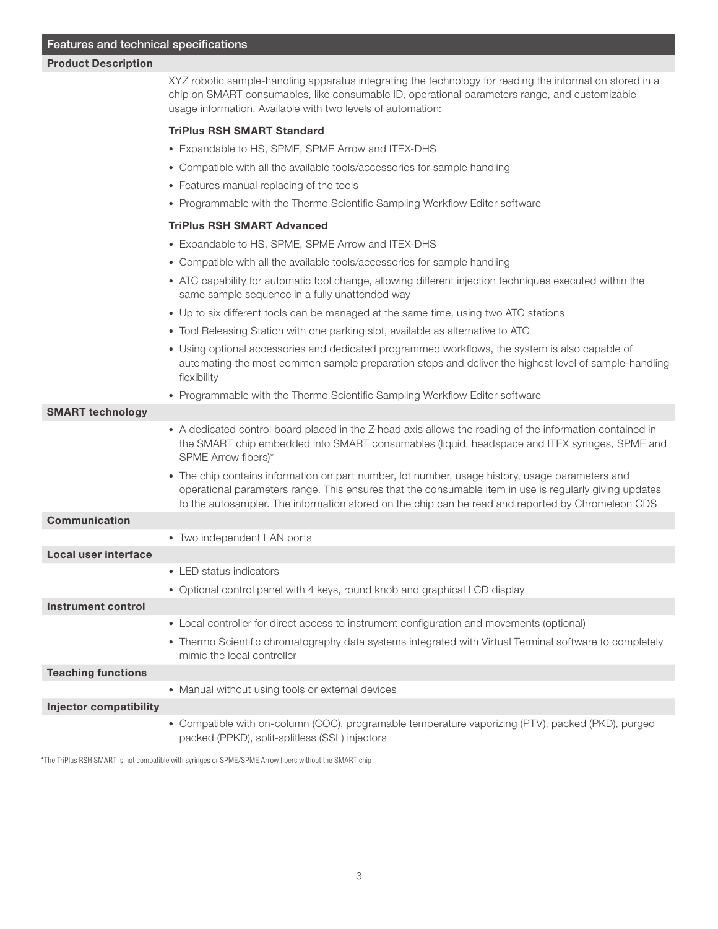| <b>Product Description</b>    |                                                                                                                                                                                                                                                                                                                |
|-------------------------------|----------------------------------------------------------------------------------------------------------------------------------------------------------------------------------------------------------------------------------------------------------------------------------------------------------------|
|                               | XYZ robotic sample-handling apparatus integrating the technology for reading the information stored in a<br>chip on SMART consumables, like consumable ID, operational parameters range, and customizable<br>usage information. Available with two levels of automation:                                       |
|                               | <b>TriPlus RSH SMART Standard</b>                                                                                                                                                                                                                                                                              |
|                               | • Expandable to HS, SPME, SPME Arrow and ITEX-DHS                                                                                                                                                                                                                                                              |
|                               | • Compatible with all the available tools/accessories for sample handling                                                                                                                                                                                                                                      |
|                               | • Features manual replacing of the tools                                                                                                                                                                                                                                                                       |
|                               | • Programmable with the Thermo Scientific Sampling Workflow Editor software                                                                                                                                                                                                                                    |
|                               | <b>TriPlus RSH SMART Advanced</b>                                                                                                                                                                                                                                                                              |
|                               | • Expandable to HS, SPME, SPME Arrow and ITEX-DHS                                                                                                                                                                                                                                                              |
|                               | • Compatible with all the available tools/accessories for sample handling                                                                                                                                                                                                                                      |
|                               | • ATC capability for automatic tool change, allowing different injection techniques executed within the<br>same sample sequence in a fully unattended way                                                                                                                                                      |
|                               | • Up to six different tools can be managed at the same time, using two ATC stations                                                                                                                                                                                                                            |
|                               | • Tool Releasing Station with one parking slot, available as alternative to ATC                                                                                                                                                                                                                                |
|                               | • Using optional accessories and dedicated programmed workflows, the system is also capable of<br>automating the most common sample preparation steps and deliver the highest level of sample-handling<br>flexibility                                                                                          |
|                               | • Programmable with the Thermo Scientific Sampling Workflow Editor software                                                                                                                                                                                                                                    |
| <b>SMART technology</b>       |                                                                                                                                                                                                                                                                                                                |
|                               | • A dedicated control board placed in the Z-head axis allows the reading of the information contained in<br>the SMART chip embedded into SMART consumables (liquid, headspace and ITEX syringes, SPME and<br>SPME Arrow fibers)*                                                                               |
|                               | • The chip contains information on part number, lot number, usage history, usage parameters and<br>operational parameters range. This ensures that the consumable item in use is regularly giving updates<br>to the autosampler. The information stored on the chip can be read and reported by Chromeleon CDS |
| <b>Communication</b>          |                                                                                                                                                                                                                                                                                                                |
|                               | • Two independent LAN ports                                                                                                                                                                                                                                                                                    |
| Local user interface          |                                                                                                                                                                                                                                                                                                                |
|                               | • LED status indicators                                                                                                                                                                                                                                                                                        |
|                               | • Optional control panel with 4 keys, round knob and graphical LCD display                                                                                                                                                                                                                                     |
| <b>Instrument control</b>     | • Local controller for direct access to instrument configuration and movements (optional)                                                                                                                                                                                                                      |
|                               |                                                                                                                                                                                                                                                                                                                |
|                               | • Thermo Scientific chromatography data systems integrated with Virtual Terminal software to completely<br>mimic the local controller                                                                                                                                                                          |
| <b>Teaching functions</b>     |                                                                                                                                                                                                                                                                                                                |
|                               | • Manual without using tools or external devices                                                                                                                                                                                                                                                               |
| <b>Injector compatibility</b> |                                                                                                                                                                                                                                                                                                                |
|                               | • Compatible with on-column (COC), programable temperature vaporizing (PTV), packed (PKD), purged<br>packed (PPKD), split-splitless (SSL) injectors                                                                                                                                                            |

\*The TriPlus RSH SMART is not compatible with syringes or SPME/SPME Arrow fibers without the SMART chip

Features and technical specifications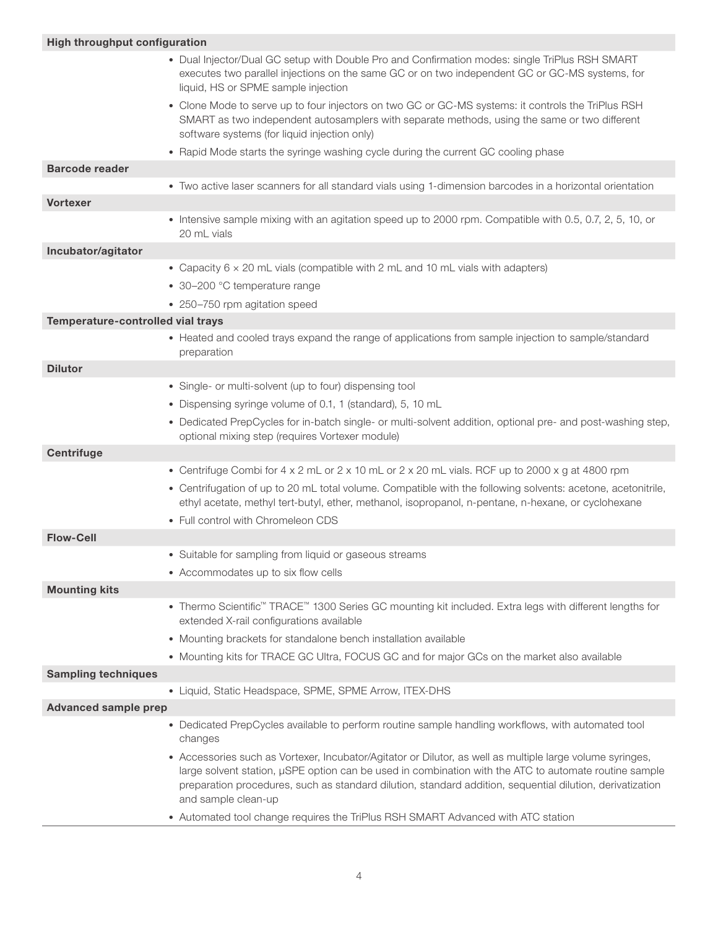| High throughput configuration     |                                                                                                                                                                                                                                                                                                                                                        |
|-----------------------------------|--------------------------------------------------------------------------------------------------------------------------------------------------------------------------------------------------------------------------------------------------------------------------------------------------------------------------------------------------------|
|                                   | • Dual Injector/Dual GC setup with Double Pro and Confirmation modes: single TriPlus RSH SMART<br>executes two parallel injections on the same GC or on two independent GC or GC-MS systems, for<br>liquid, HS or SPME sample injection                                                                                                                |
|                                   | • Clone Mode to serve up to four injectors on two GC or GC-MS systems: it controls the TriPlus RSH<br>SMART as two independent autosamplers with separate methods, using the same or two different<br>software systems (for liquid injection only)                                                                                                     |
|                                   | • Rapid Mode starts the syringe washing cycle during the current GC cooling phase                                                                                                                                                                                                                                                                      |
| <b>Barcode reader</b>             |                                                                                                                                                                                                                                                                                                                                                        |
|                                   | • Two active laser scanners for all standard vials using 1-dimension barcodes in a horizontal orientation                                                                                                                                                                                                                                              |
| <b>Vortexer</b>                   |                                                                                                                                                                                                                                                                                                                                                        |
|                                   | • Intensive sample mixing with an agitation speed up to 2000 rpm. Compatible with 0.5, 0.7, 2, 5, 10, or<br>20 mL vials                                                                                                                                                                                                                                |
| Incubator/agitator                |                                                                                                                                                                                                                                                                                                                                                        |
|                                   | • Capacity $6 \times 20$ mL vials (compatible with 2 mL and 10 mL vials with adapters)                                                                                                                                                                                                                                                                 |
|                                   | • 30-200 °C temperature range                                                                                                                                                                                                                                                                                                                          |
|                                   | • 250-750 rpm agitation speed                                                                                                                                                                                                                                                                                                                          |
| Temperature-controlled vial trays |                                                                                                                                                                                                                                                                                                                                                        |
|                                   | • Heated and cooled trays expand the range of applications from sample injection to sample/standard<br>preparation                                                                                                                                                                                                                                     |
| <b>Dilutor</b>                    |                                                                                                                                                                                                                                                                                                                                                        |
|                                   | • Single- or multi-solvent (up to four) dispensing tool                                                                                                                                                                                                                                                                                                |
|                                   | • Dispensing syringe volume of 0.1, 1 (standard), 5, 10 mL                                                                                                                                                                                                                                                                                             |
|                                   | • Dedicated PrepCycles for in-batch single- or multi-solvent addition, optional pre- and post-washing step,<br>optional mixing step (requires Vortexer module)                                                                                                                                                                                         |
| <b>Centrifuge</b>                 |                                                                                                                                                                                                                                                                                                                                                        |
|                                   | • Centrifuge Combi for 4 x 2 mL or 2 x 10 mL or 2 x 20 mL vials. RCF up to 2000 x g at 4800 rpm                                                                                                                                                                                                                                                        |
|                                   | • Centrifugation of up to 20 mL total volume. Compatible with the following solvents: acetone, acetonitrile,<br>ethyl acetate, methyl tert-butyl, ether, methanol, isopropanol, n-pentane, n-hexane, or cyclohexane<br>• Full control with Chromeleon CDS                                                                                              |
| <b>Flow-Cell</b>                  |                                                                                                                                                                                                                                                                                                                                                        |
|                                   | • Suitable for sampling from liquid or gaseous streams                                                                                                                                                                                                                                                                                                 |
|                                   | • Accommodates up to six flow cells                                                                                                                                                                                                                                                                                                                    |
| <b>Mounting kits</b>              |                                                                                                                                                                                                                                                                                                                                                        |
|                                   | • Thermo Scientific™ TRACE™ 1300 Series GC mounting kit included. Extra legs with different lengths for<br>extended X-rail configurations available                                                                                                                                                                                                    |
|                                   | • Mounting brackets for standalone bench installation available                                                                                                                                                                                                                                                                                        |
|                                   | • Mounting kits for TRACE GC Ultra, FOCUS GC and for major GCs on the market also available                                                                                                                                                                                                                                                            |
| <b>Sampling techniques</b>        |                                                                                                                                                                                                                                                                                                                                                        |
|                                   | • Liquid, Static Headspace, SPME, SPME Arrow, ITEX-DHS                                                                                                                                                                                                                                                                                                 |
| <b>Advanced sample prep</b>       |                                                                                                                                                                                                                                                                                                                                                        |
|                                   | • Dedicated PrepCycles available to perform routine sample handling workflows, with automated tool<br>changes                                                                                                                                                                                                                                          |
|                                   | • Accessories such as Vortexer, Incubator/Agitator or Dilutor, as well as multiple large volume syringes,<br>large solvent station, µSPE option can be used in combination with the ATC to automate routine sample<br>preparation procedures, such as standard dilution, standard addition, sequential dilution, derivatization<br>and sample clean-up |
|                                   | • Automated tool change requires the TriPlus RSH SMART Advanced with ATC station                                                                                                                                                                                                                                                                       |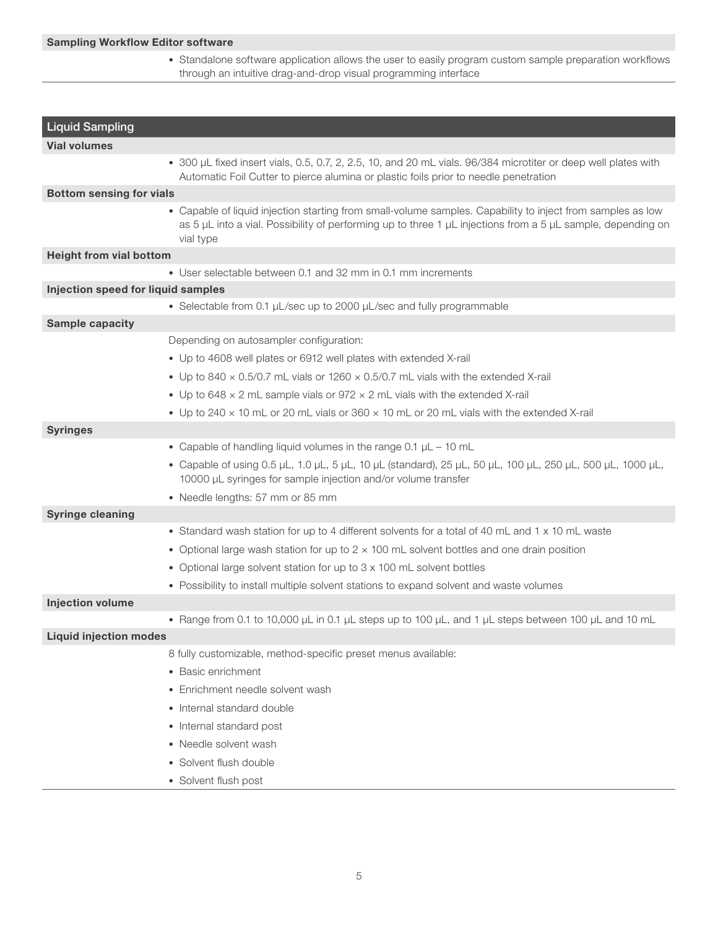• Standalone software application allows the user to easily program custom sample preparation workflows through an intuitive drag-and-drop visual programming interface

| <b>Liquid Sampling</b>                    |                                                                                                                                                                                                                                        |
|-------------------------------------------|----------------------------------------------------------------------------------------------------------------------------------------------------------------------------------------------------------------------------------------|
| <b>Vial volumes</b>                       |                                                                                                                                                                                                                                        |
|                                           | • 300 µL fixed insert vials, 0.5, 0.7, 2, 2.5, 10, and 20 mL vials. 96/384 microtiter or deep well plates with<br>Automatic Foil Cutter to pierce alumina or plastic foils prior to needle penetration                                 |
| <b>Bottom sensing for vials</b>           |                                                                                                                                                                                                                                        |
|                                           | • Capable of liquid injection starting from small-volume samples. Capability to inject from samples as low<br>as 5 µL into a vial. Possibility of performing up to three 1 µL injections from a 5 µL sample, depending on<br>vial type |
| <b>Height from vial bottom</b>            |                                                                                                                                                                                                                                        |
|                                           | • User selectable between 0.1 and 32 mm in 0.1 mm increments                                                                                                                                                                           |
| <b>Injection speed for liquid samples</b> |                                                                                                                                                                                                                                        |
|                                           | • Selectable from 0.1 µL/sec up to 2000 µL/sec and fully programmable                                                                                                                                                                  |
| <b>Sample capacity</b>                    |                                                                                                                                                                                                                                        |
|                                           | Depending on autosampler configuration:                                                                                                                                                                                                |
|                                           | • Up to 4608 well plates or 6912 well plates with extended X-rail                                                                                                                                                                      |
|                                           | • Up to 840 $\times$ 0.5/0.7 mL vials or 1260 $\times$ 0.5/0.7 mL vials with the extended X-rail                                                                                                                                       |
|                                           | • Up to 648 $\times$ 2 mL sample vials or 972 $\times$ 2 mL vials with the extended X-rail                                                                                                                                             |
|                                           | • Up to 240 x 10 mL or 20 mL vials or 360 x 10 mL or 20 mL vials with the extended X-rail                                                                                                                                              |
| <b>Syringes</b>                           |                                                                                                                                                                                                                                        |
|                                           | • Capable of handling liquid volumes in the range $0.1 \mu L - 10 \mu L$                                                                                                                                                               |
|                                           | • Capable of using 0.5 µL, 1.0 µL, 5 µL, 10 µL (standard), 25 µL, 50 µL, 100 µL, 250 µL, 500 µL, 1000 µL,<br>10000 µL syringes for sample injection and/or volume transfer                                                             |
|                                           | • Needle lengths: 57 mm or 85 mm                                                                                                                                                                                                       |
| <b>Syringe cleaning</b>                   |                                                                                                                                                                                                                                        |
|                                           | • Standard wash station for up to 4 different solvents for a total of 40 mL and 1 x 10 mL waste                                                                                                                                        |
|                                           | • Optional large wash station for up to $2 \times 100$ mL solvent bottles and one drain position                                                                                                                                       |
|                                           | • Optional large solvent station for up to 3 x 100 mL solvent bottles                                                                                                                                                                  |
|                                           | • Possibility to install multiple solvent stations to expand solvent and waste volumes                                                                                                                                                 |
| <b>Injection volume</b>                   |                                                                                                                                                                                                                                        |
|                                           | • Range from 0.1 to 10,000 µL in 0.1 µL steps up to 100 µL, and 1 µL steps between 100 µL and 10 mL                                                                                                                                    |
| <b>Liquid injection modes</b>             |                                                                                                                                                                                                                                        |
|                                           | 8 fully customizable, method-specific preset menus available:                                                                                                                                                                          |
|                                           | • Basic enrichment                                                                                                                                                                                                                     |
|                                           | • Enrichment needle solvent wash                                                                                                                                                                                                       |
|                                           | • Internal standard double                                                                                                                                                                                                             |
|                                           | • Internal standard post                                                                                                                                                                                                               |
|                                           | • Needle solvent wash                                                                                                                                                                                                                  |
|                                           | • Solvent flush double                                                                                                                                                                                                                 |
|                                           | • Solvent flush post                                                                                                                                                                                                                   |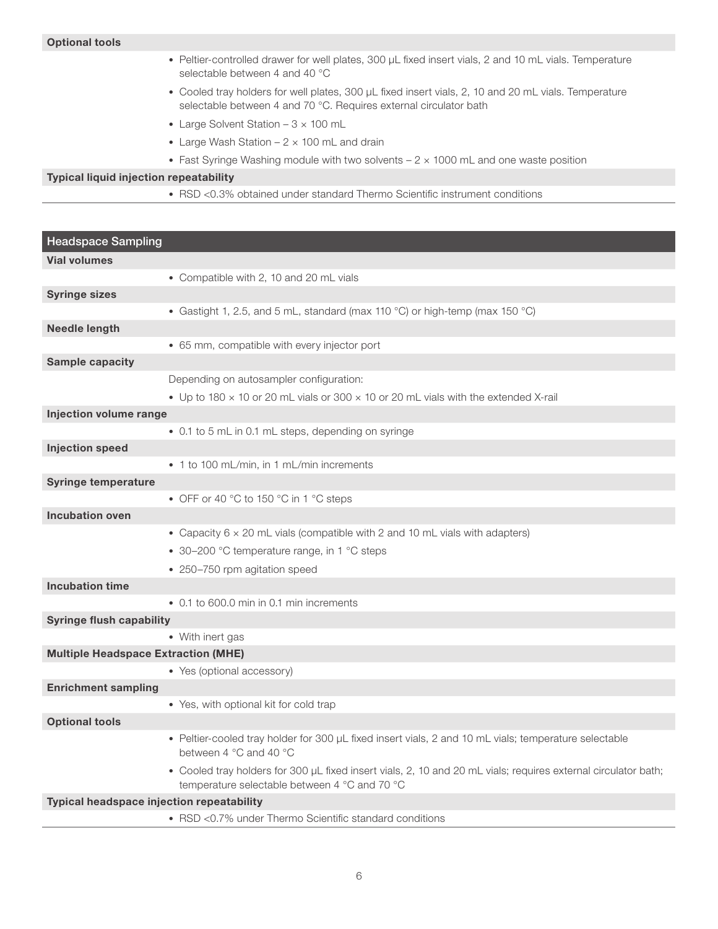- Peltier-controlled drawer for well plates, 300 μL fixed insert vials, 2 and 10 mL vials. Temperature selectable between 4 and 40 °C
- Cooled tray holders for well plates, 300 μL fixed insert vials, 2, 10 and 20 mL vials. Temperature selectable between 4 and 70 °C. Requires external circulator bath
- Large Solvent Station  $-3 \times 100$  mL
- Large Wash Station  $-2 \times 100$  mL and drain
- Fast Syringe Washing module with two solvents  $-2 \times 1000$  mL and one waste position

#### Typical liquid injection repeatability

• RSD <0.3% obtained under standard Thermo Scientific instrument conditions

| <b>Headspace Sampling</b>                  |                                                                                                                                                                 |
|--------------------------------------------|-----------------------------------------------------------------------------------------------------------------------------------------------------------------|
| <b>Vial volumes</b>                        |                                                                                                                                                                 |
|                                            | • Compatible with 2, 10 and 20 mL vials                                                                                                                         |
| <b>Syringe sizes</b>                       |                                                                                                                                                                 |
|                                            | • Gastight 1, 2.5, and 5 mL, standard (max 110 °C) or high-temp (max 150 °C)                                                                                    |
| <b>Needle length</b>                       |                                                                                                                                                                 |
|                                            | • 65 mm, compatible with every injector port                                                                                                                    |
| <b>Sample capacity</b>                     |                                                                                                                                                                 |
|                                            | Depending on autosampler configuration:                                                                                                                         |
|                                            | • Up to 180 x 10 or 20 mL vials or 300 x 10 or 20 mL vials with the extended X-rail                                                                             |
| Injection volume range                     |                                                                                                                                                                 |
|                                            | • 0.1 to 5 mL in 0.1 mL steps, depending on syringe                                                                                                             |
| <b>Injection speed</b>                     |                                                                                                                                                                 |
|                                            | • 1 to 100 mL/min, in 1 mL/min increments                                                                                                                       |
| <b>Syringe temperature</b>                 |                                                                                                                                                                 |
|                                            | • OFF or 40 $^{\circ}$ C to 150 $^{\circ}$ C in 1 $^{\circ}$ C steps                                                                                            |
| <b>Incubation oven</b>                     |                                                                                                                                                                 |
|                                            | • Capacity $6 \times 20$ mL vials (compatible with 2 and 10 mL vials with adapters)                                                                             |
|                                            | • 30-200 °C temperature range, in 1 °C steps                                                                                                                    |
|                                            | • 250-750 rpm agitation speed                                                                                                                                   |
| <b>Incubation time</b>                     |                                                                                                                                                                 |
|                                            | • 0.1 to 600.0 min in 0.1 min increments                                                                                                                        |
| <b>Syringe flush capability</b>            |                                                                                                                                                                 |
|                                            | • With inert gas                                                                                                                                                |
| <b>Multiple Headspace Extraction (MHE)</b> |                                                                                                                                                                 |
|                                            | • Yes (optional accessory)                                                                                                                                      |
| <b>Enrichment sampling</b>                 |                                                                                                                                                                 |
|                                            | • Yes, with optional kit for cold trap                                                                                                                          |
| <b>Optional tools</b>                      |                                                                                                                                                                 |
|                                            | • Peltier-cooled tray holder for 300 µL fixed insert vials, 2 and 10 mL vials; temperature selectable<br>between 4 °C and 40 °C                                 |
|                                            | • Cooled tray holders for 300 µL fixed insert vials, 2, 10 and 20 mL vials; requires external circulator bath;<br>temperature selectable between 4 °C and 70 °C |
| Typical headspace injection repeatability  |                                                                                                                                                                 |
|                                            | • RSD <0.7% under Thermo Scientific standard conditions                                                                                                         |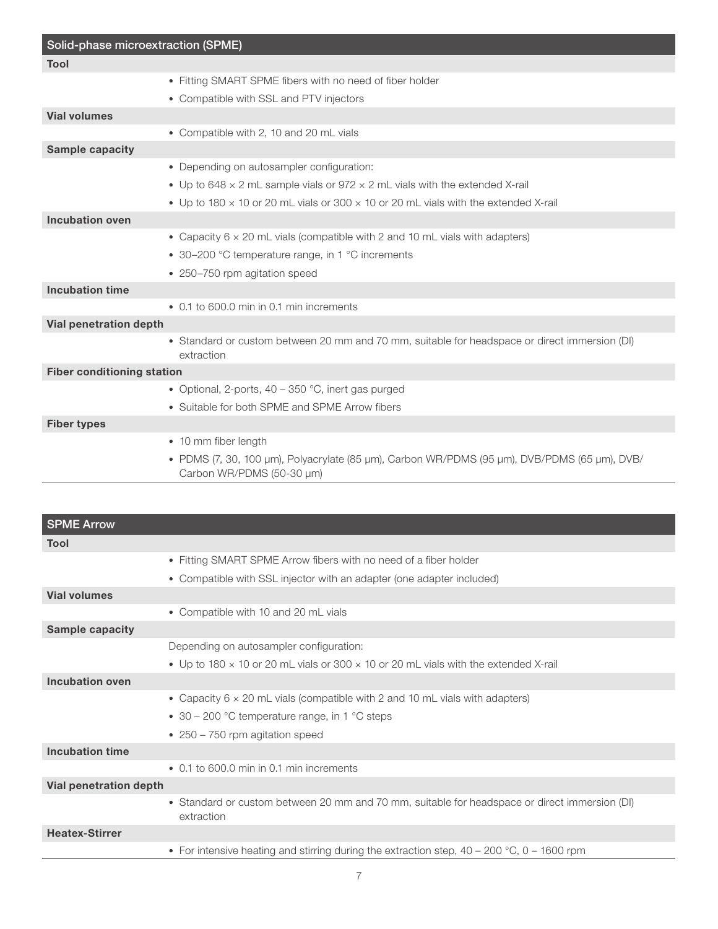| Solid-phase microextraction (SPME) |                                                                                                                           |
|------------------------------------|---------------------------------------------------------------------------------------------------------------------------|
| <b>Tool</b>                        |                                                                                                                           |
|                                    | • Fitting SMART SPME fibers with no need of fiber holder                                                                  |
|                                    | • Compatible with SSL and PTV injectors                                                                                   |
| <b>Vial volumes</b>                |                                                                                                                           |
|                                    | • Compatible with 2, 10 and 20 mL vials                                                                                   |
| <b>Sample capacity</b>             |                                                                                                                           |
|                                    | • Depending on autosampler configuration:                                                                                 |
|                                    | • Up to 648 $\times$ 2 mL sample vials or 972 $\times$ 2 mL vials with the extended X-rail                                |
|                                    | • Up to 180 x 10 or 20 mL vials or 300 x 10 or 20 mL vials with the extended X-rail                                       |
| <b>Incubation oven</b>             |                                                                                                                           |
|                                    | • Capacity $6 \times 20$ mL vials (compatible with 2 and 10 mL vials with adapters)                                       |
|                                    | • 30-200 °C temperature range, in 1 °C increments                                                                         |
|                                    | • 250-750 rpm agitation speed                                                                                             |
| <b>Incubation time</b>             |                                                                                                                           |
|                                    | • 0.1 to 600.0 min in 0.1 min increments                                                                                  |
| <b>Vial penetration depth</b>      |                                                                                                                           |
|                                    | • Standard or custom between 20 mm and 70 mm, suitable for headspace or direct immersion (DI)<br>extraction               |
| <b>Fiber conditioning station</b>  |                                                                                                                           |
|                                    | • Optional, 2-ports, 40 – 350 °C, inert gas purged                                                                        |
|                                    | • Suitable for both SPME and SPME Arrow fibers                                                                            |
| <b>Fiber types</b>                 |                                                                                                                           |
|                                    | • 10 mm fiber length                                                                                                      |
|                                    | • PDMS (7, 30, 100 µm), Polyacrylate (85 µm), Carbon WR/PDMS (95 µm), DVB/PDMS (65 µm), DVB/<br>Carbon WR/PDMS (50-30 µm) |

| <b>SPME Arrow</b>             |                                                                                                             |
|-------------------------------|-------------------------------------------------------------------------------------------------------------|
| <b>Tool</b>                   |                                                                                                             |
|                               | • Fitting SMART SPME Arrow fibers with no need of a fiber holder                                            |
|                               | • Compatible with SSL injector with an adapter (one adapter included)                                       |
| <b>Vial volumes</b>           |                                                                                                             |
|                               | • Compatible with 10 and 20 mL vials                                                                        |
| <b>Sample capacity</b>        |                                                                                                             |
|                               | Depending on autosampler configuration:                                                                     |
|                               | • Up to 180 $\times$ 10 or 20 mL vials or 300 $\times$ 10 or 20 mL vials with the extended X-rail           |
| Incubation oven               |                                                                                                             |
|                               | • Capacity $6 \times 20$ mL vials (compatible with 2 and 10 mL vials with adapters)                         |
|                               | • 30 – 200 °C temperature range, in 1 °C steps                                                              |
|                               | • 250 – 750 rpm agitation speed                                                                             |
| <b>Incubation time</b>        |                                                                                                             |
|                               | $\bullet$ 0.1 to 600.0 min in 0.1 min increments                                                            |
| <b>Vial penetration depth</b> |                                                                                                             |
|                               | • Standard or custom between 20 mm and 70 mm, suitable for headspace or direct immersion (DI)<br>extraction |
| <b>Heatex-Stirrer</b>         |                                                                                                             |
|                               | • For intensive heating and stirring during the extraction step, $40 - 200$ °C, $0 - 1600$ rpm              |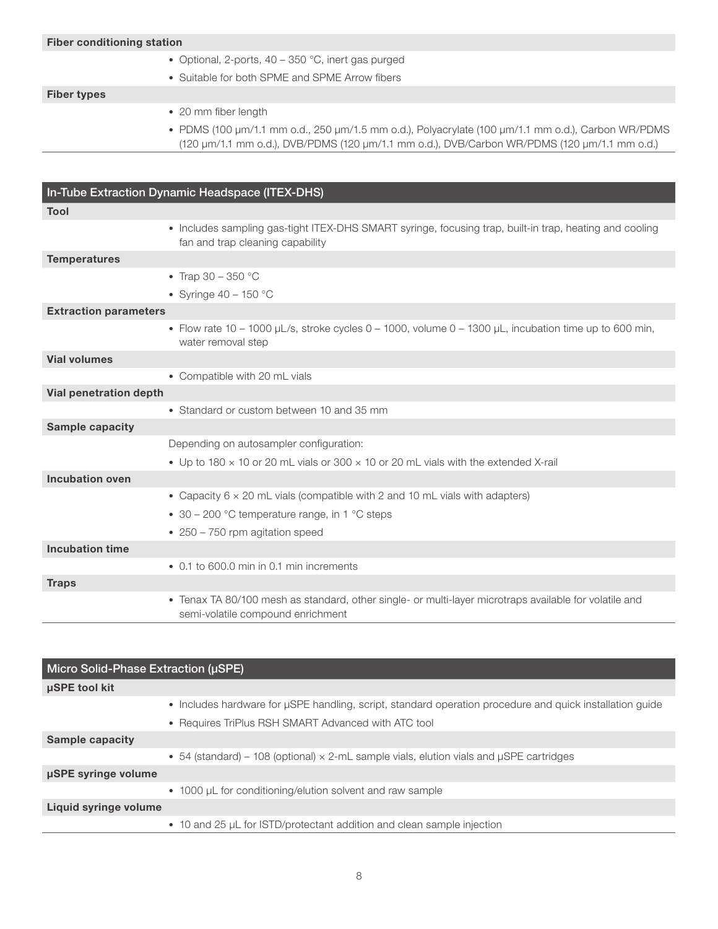- Optional, 2-ports, 40 350 °C, inert gas purged
- Suitable for both SPME and SPME Arrow fibers

#### Fiber types

- 20 mm fiber length
- PDMS (100 µm/1.1 mm o.d., 250 μm/1.5 mm o.d.), Polyacrylate (100 µm/1.1 mm o.d.), Carbon WR/PDMS (120 µm/1.1 mm o.d.), DVB/PDMS (120 µm/1.1 mm o.d.), DVB/Carbon WR/PDMS (120 µm/1.1 mm o.d.)

|                               | In-Tube Extraction Dynamic Headspace (ITEX-DHS)                                                                                             |
|-------------------------------|---------------------------------------------------------------------------------------------------------------------------------------------|
| <b>Tool</b>                   |                                                                                                                                             |
|                               | • Includes sampling gas-tight ITEX-DHS SMART syringe, focusing trap, built-in trap, heating and cooling<br>fan and trap cleaning capability |
| <b>Temperatures</b>           |                                                                                                                                             |
|                               | • Trap $30 - 350$ °C                                                                                                                        |
|                               | • Syringe $40 - 150$ °C                                                                                                                     |
| <b>Extraction parameters</b>  |                                                                                                                                             |
|                               | • Flow rate $10 - 1000 \mu L/s$ , stroke cycles $0 - 1000$ , volume $0 - 1300 \mu L$ , incubation time up to 600 min,<br>water removal step |
| <b>Vial volumes</b>           |                                                                                                                                             |
|                               | • Compatible with 20 mL vials                                                                                                               |
| <b>Vial penetration depth</b> |                                                                                                                                             |
|                               | • Standard or custom between 10 and 35 mm                                                                                                   |
| <b>Sample capacity</b>        |                                                                                                                                             |
|                               | Depending on autosampler configuration:                                                                                                     |
|                               | • Up to 180 x 10 or 20 mL vials or 300 x 10 or 20 mL vials with the extended X-rail                                                         |
| <b>Incubation oven</b>        |                                                                                                                                             |
|                               | • Capacity $6 \times 20$ mL vials (compatible with 2 and 10 mL vials with adapters)                                                         |
|                               | • 30 – 200 °C temperature range, in 1 °C steps                                                                                              |
|                               | • 250 - 750 rpm agitation speed                                                                                                             |
| <b>Incubation time</b>        |                                                                                                                                             |
|                               | • 0.1 to 600.0 min in 0.1 min increments                                                                                                    |
| <b>Traps</b>                  |                                                                                                                                             |
|                               | • Tenax TA 80/100 mesh as standard, other single- or multi-layer microtraps available for volatile and<br>semi-volatile compound enrichment |

| Micro Solid-Phase Extraction (µSPE) |                                                                                                          |
|-------------------------------------|----------------------------------------------------------------------------------------------------------|
| uSPE tool kit                       |                                                                                                          |
|                                     | • Includes hardware for µSPE handling, script, standard operation procedure and quick installation guide |
|                                     | • Requires TriPlus RSH SMART Advanced with ATC tool                                                      |
| <b>Sample capacity</b>              |                                                                                                          |
|                                     | • 54 (standard) – 108 (optional) $\times$ 2-mL sample vials, elution vials and $\mu$ SPE cartridges      |
| µSPE syringe volume                 |                                                                                                          |
|                                     | • 1000 µL for conditioning/elution solvent and raw sample                                                |
| Liquid syringe volume               |                                                                                                          |
|                                     | • 10 and 25 µL for ISTD/protectant addition and clean sample injection                                   |